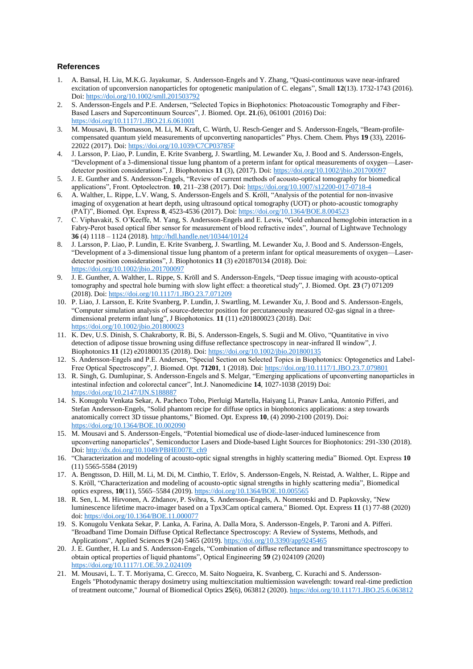## **References**

- 1. A. Bansal, H. Liu, M.K.G. Jayakumar, S. Andersson-Engels and Y. Zhang, "Quasi-continuous wave near-infrared excitation of upconversion nanoparticles for optogenetic manipulation of C. elegans", Small **12**(13). 1732-1743 (2016). Doi: <https://doi.org/10.1002/smll.201503792>
- 2. S. Andersson-Engels and P.E. Andersen, "Selected Topics in Biophotonics: Photoacoustic Tomography and Fiber-Based Lasers and Supercontinuum Sources", J. Biomed. Opt. **21**.(6), 061001 (2016) Doi: <https://doi.org/10.1117/1.JBO.21.6.061001>
- 3. M. Mousavi, B. Thomasson, M. Li, M. Kraft, C. Würth, U. Resch-Genger and S. Andersson-Engels, "Beam-profilecompensated quantum yield measurements of upconverting nanoparticles" Phys. Chem. Chem. Phys **19** (33), 22016- 22022 (2017). Doi: <https://doi.org/10.1039/C7CP03785F>
- 4. J. Larsson, P. Liao, P. Lundin, E. Krite Svanberg, J. Swartling, M. Lewander Xu, J. Bood and S. Andersson-Engels, "Development of a 3-dimensional tissue lung phantom of a preterm infant for optical measurements of oxygen—Laserdetector position considerations", J. Biophotonics **11** (3), (2017). Doi: <https://doi.org/10.1002/jbio.201700097>
- 5. J. E. Gunther and S. Andersson-Engels, "Review of current methods of acousto-optical tomography for biomedical applications", Front. Optoelectron. **10**, 211–238 (2017). Doi[: https://doi.org/10.1007/s12200-017-0718-4](https://doi.org/10.1007/s12200-017-0718-4)
- 6. A. Walther, L. Rippe, L.V. Wang, S. Andersson-Engels and S. Kröll, "Analysis of the potential for non-invasive imaging of oxygenation at heart depth, using ultrasound optical tomography (UOT) or photo-acoustic tomography (PAT)", Biomed. Opt. Express **8**, 4523-4536 (2017). Doi: <https://doi.org/10.1364/BOE.8.004523>
- 7. C. Viphavakit, S. O'Keeffe, M. Yang, S. Andersson-Engels and E. Lewis, "Gold enhanced hemoglobin interaction in a Fabry-Perot based optical fiber sensor for measurement of blood refractive index", Journal of Lightwave Technology **36** (4) 1118 – 1124 (2018)[. http://hdl.handle.net/10344/10124](http://hdl.handle.net/10344/10124)
- 8. J. Larsson, P. Liao, P. Lundin, E. Krite Svanberg, J. Swartling, M. Lewander Xu, J. Bood and S. Andersson-Engels, "Development of a 3-dimensional tissue lung phantom of a preterm infant for optical measurements of oxygen—Laserdetector position considerations", J. Biophotonics **11** (3) e201870134 (2018). Doi: <https://doi.org/10.1002/jbio.201700097>
- 9. J. E. Gunther, A. Walther, L. Rippe, S. Kröll and S. Andersson-Engels, "Deep tissue imaging with acousto-optical tomography and spectral hole burning with slow light effect: a theoretical study", J. Biomed. Opt. **23** (7) 071209 (2018). Doi[: https://doi.org/10.1117/1.JBO.23.7.071209](https://doi.org/10.1117/1.JBO.23.7.071209)
- 10. P. Liao, J. Larsson, E. Krite Svanberg, P. Lundin, J. Swartling, M. Lewander Xu, J. Bood and S. Andersson-Engels, "Computer simulation analysis of source-detector position for percutaneously measured O2-gas signal in a threedimensional preterm infant lung", J Biophotonics. **11** (11) e201800023 (2018). Doi: <https://doi.org/10.1002/jbio.201800023>
- 11. K. Dev, U.S. Dinish, S. Chakraborty, R. Bi, S. Andersson-Engels, S. Sugii and M. Olivo, "Quantitative in vivo detection of adipose tissue browning using diffuse reflectance spectroscopy in near-infrared II window", J. Biophotonics **11** (12) e201800135 (2018). Doi[: https://doi.org/10.1002/jbio.201800135](https://doi.org/10.1002/jbio.201800135)
- 12. S. Andersson-Engels and P.E. Andersen, "Special Section on Selected Topics in Biophotonics: Optogenetics and Label-Free Optical Spectroscopy", J. Biomed. Opt. **71201**, 1 (2018). Doi[: https://doi.org/10.1117/1.JBO.23.7.079801](https://doi.org/10.1117/1.JBO.23.7.079801)
- 13. R. Singh, G. Dumlupinar, S. Andersson-Engels and S. Melgar, "Emerging applications of upconverting nanoparticles in intestinal infection and colorectal cancer", Int.J. Nanomedicine **14**, 1027-1038 (2019) Doi: <https://doi.org/10.2147/IJN.S188887>
- 14. S. Konugolu Venkata Sekar, A. Pacheco Tobo, Pierluigi Martella, Haiyang Li, Pranav Lanka, Antonio Pifferi, and Stefan Andersson-Engels, "Solid phantom recipe for diffuse optics in biophotonics applications: a step towards anatomically correct 3D tissue phantoms," Biomed. Opt. Express **10**, (4) 2090-2100 (2019). Doi: <https://doi.org/10.1364/BOE.10.002090>
- 15. M. Mousavi and S. Andersson-Engels, "Potential biomedical use of diode-laser-induced luminescence from upconverting nanoparticles", Semiconductor Lasers and Diode-based Light Sources for Biophotonics: 291-330 (2018). Doi[: http://dx.doi.org/10.1049/PBHE007E\\_ch9](http://dx.doi.org/10.1049/PBHE007E_ch9)
- 16. "Characterization and modeling of acousto-optic signal strengths in highly scattering media" Biomed. Opt. Express **10**  (11) 5565-5584 (2019)
- 17. A. Bengtsson, D. Hill, M. Li, M. Di, M. Cinthio, T. Erlöv, S. Andersson-Engels, N. Reistad, A. Walther, L. Rippe and S. Kröll, "Characterization and modeling of acousto-optic signal strengths in highly scattering media", Biomedical optics express, **10**(11), 5565–5584 (2019). <https://doi.org/10.1364/BOE.10.005565>
- 18. R. Sen, L. M. Hirvonen, A. Zhdanov, P. Svihra, S. Andersson-Engels, A. Nomerotski and D. Papkovsky, "New luminescence lifetime macro-imager based on a Tpx3Cam optical camera," Biomed. Opt. Express **11** (1) 77-88 (2020) doi[: https://doi.org/10.1364/BOE.11.000077](https://doi.org/10.1364/BOE.11.000077)
- 19. S. Konugolu Venkata Sekar, P. Lanka, A. Farina, A. Dalla Mora, S. Andersson-Engels, P. Taroni and A. Pifferi. "Broadband Time Domain Diffuse Optical Reflectance Spectroscopy: A Review of Systems, Methods, and Applications", Applied Sciences **9** (24) 5465 (2019). <https://doi.org/10.3390/app9245465>
- 20. J. E. Gunther, H. Lu and S. Andersson-Engels, "Combination of diffuse reflectance and transmittance spectroscopy to obtain optical properties of liquid phantoms", Optical Engineering **59** (2) 024109 (2020) <https://doi.org/10.1117/1.OE.59.2.024109>
- 21. M. [Mousavi,](https://www.spiedigitallibrary.org/profile/Monirehalsadat.Mousavi-8287) [L. T. T. Moriyama,](https://www.spiedigitallibrary.org/profile/Lilian.Moriyama-60042) C. Grecco, [M. Saito Nogueira,](https://www.spiedigitallibrary.org/profile/Marcelo.Saito-Nogueira-6464) [K. Svanberg,](https://www.spiedigitallibrary.org/profile/Katarina.Svanberg-7477) C. Kurachi and [S. Andersson-](https://www.spiedigitallibrary.org/profile/Stefan.Andersson-Engels-7476)[Engels](https://www.spiedigitallibrary.org/profile/Stefan.Andersson-Engels-7476) "Photodynamic therapy dosimetry using multiexcitation multiemission wavelength: toward real-time prediction of treatment outcome," Journal of Biomedical Optics **25**(6), 063812 (2020). <https://doi.org/10.1117/1.JBO.25.6.063812>